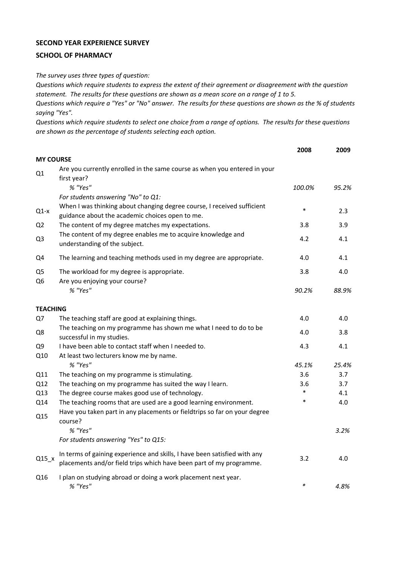## **SECOND YEAR EXPERIENCE SURVEY**

## **SCHOOL OF PHARMACY**

*The survey uses three types of question:*

*Questions which require students to express the extent of their agreement or disagreement with the question statement. The results for these questions are shown as a mean score on a range of 1 to 5.*

*Questions which require a "Yes" or "No" answer. The results for these questions are shown as the % of students saying "Yes".*

*Questions which require students to select one choice from a range of options. The results for these questions are shown as the percentage of students selecting each option.*

|                                  |                                                                                                                                                                  | 2008          | 2009  |
|----------------------------------|------------------------------------------------------------------------------------------------------------------------------------------------------------------|---------------|-------|
| <b>MY COURSE</b>                 |                                                                                                                                                                  |               |       |
| Q1                               | Are you currently enrolled in the same course as when you entered in your<br>first year?                                                                         |               |       |
|                                  | % "Yes"                                                                                                                                                          | 100.0%        | 95.2% |
| $Q1-x$                           | For students answering "No" to Q1:<br>When I was thinking about changing degree course, I received sufficient<br>guidance about the academic choices open to me. | $\ast$        | 2.3   |
| Q <sub>2</sub>                   | The content of my degree matches my expectations.                                                                                                                | 3.8           | 3.9   |
| Q <sub>3</sub>                   | The content of my degree enables me to acquire knowledge and<br>understanding of the subject.                                                                    | 4.2           | 4.1   |
| Q4                               | The learning and teaching methods used in my degree are appropriate.                                                                                             | 4.0           | 4.1   |
| Q <sub>5</sub><br>Q <sub>6</sub> | The workload for my degree is appropriate.<br>Are you enjoying your course?                                                                                      | 3.8           | 4.0   |
|                                  | % "Yes"                                                                                                                                                          | 90.2%         | 88.9% |
| <b>TEACHING</b>                  |                                                                                                                                                                  |               |       |
| Q7                               | The teaching staff are good at explaining things.                                                                                                                | 4.0           | 4.0   |
| Q8                               | The teaching on my programme has shown me what I need to do to be<br>successful in my studies.                                                                   | 4.0           | 3.8   |
| Q9                               | I have been able to contact staff when I needed to.                                                                                                              | 4.3           | 4.1   |
| Q10                              | At least two lecturers know me by name.                                                                                                                          |               |       |
|                                  | % "Yes"                                                                                                                                                          | 45.1%         | 25.4% |
| Q11                              | The teaching on my programme is stimulating.                                                                                                                     | 3.6           | 3.7   |
| Q12                              | The teaching on my programme has suited the way I learn.                                                                                                         | 3.6<br>$\ast$ | 3.7   |
| Q13                              | The degree course makes good use of technology.                                                                                                                  | $\ast$        | 4.1   |
| Q14<br>Q15                       | The teaching rooms that are used are a good learning environment.<br>Have you taken part in any placements or fieldtrips so far on your degree<br>course?        |               | 4.0   |
|                                  | % "Yes"                                                                                                                                                          |               | 3.2%  |
|                                  | For students answering "Yes" to Q15:                                                                                                                             |               |       |
| $Q15_x$                          | In terms of gaining experience and skills, I have been satisfied with any<br>placements and/or field trips which have been part of my programme.                 | 3.2           | 4.0   |
| Q16                              | I plan on studying abroad or doing a work placement next year.<br>% "Yes"                                                                                        | $\ast$        | 4.8%  |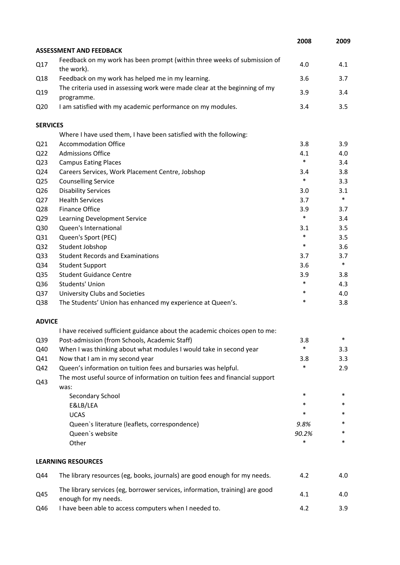|                 |                                                                                                      | 2008   | 2009   |
|-----------------|------------------------------------------------------------------------------------------------------|--------|--------|
|                 | <b>ASSESSMENT AND FEEDBACK</b>                                                                       |        |        |
| Q17             | Feedback on my work has been prompt (within three weeks of submission of<br>the work).               | 4.0    | 4.1    |
| Q18             | Feedback on my work has helped me in my learning.                                                    | 3.6    | 3.7    |
| Q19             | The criteria used in assessing work were made clear at the beginning of my                           | 3.9    | 3.4    |
| Q <sub>20</sub> | programme.<br>I am satisfied with my academic performance on my modules.                             | 3.4    | 3.5    |
| <b>SERVICES</b> |                                                                                                      |        |        |
|                 | Where I have used them, I have been satisfied with the following:                                    |        |        |
| Q <sub>21</sub> | <b>Accommodation Office</b>                                                                          | 3.8    | 3.9    |
| Q <sub>22</sub> | <b>Admissions Office</b>                                                                             | 4.1    | 4.0    |
| Q <sub>23</sub> | <b>Campus Eating Places</b>                                                                          | $\ast$ | 3.4    |
| Q24             | Careers Services, Work Placement Centre, Jobshop                                                     | 3.4    | 3.8    |
| Q <sub>25</sub> | <b>Counselling Service</b>                                                                           | $\ast$ | 3.3    |
| Q26             | <b>Disability Services</b>                                                                           | 3.0    | 3.1    |
| Q27             | <b>Health Services</b>                                                                               | 3.7    | $\ast$ |
| Q28             | Finance Office                                                                                       | 3.9    | 3.7    |
| Q29             | Learning Development Service                                                                         | $\ast$ | 3.4    |
| Q30             | Queen's International                                                                                | 3.1    | 3.5    |
| Q31             | Queen's Sport (PEC)                                                                                  | $\ast$ | 3.5    |
| Q <sub>32</sub> | Student Jobshop                                                                                      | $\ast$ | 3.6    |
| Q <sub>33</sub> | <b>Student Records and Examinations</b>                                                              | 3.7    | 3.7    |
| Q34             | <b>Student Support</b>                                                                               | 3.6    | $\ast$ |
| Q35             | <b>Student Guidance Centre</b>                                                                       | 3.9    | 3.8    |
| Q36             | Students' Union                                                                                      | $\ast$ | 4.3    |
| Q37             | University Clubs and Societies                                                                       | $\ast$ | 4.0    |
| Q38             | The Students' Union has enhanced my experience at Queen's.                                           | *      | 3.8    |
| <b>ADVICE</b>   |                                                                                                      |        |        |
|                 | I have received sufficient guidance about the academic choices open to me:                           |        |        |
| Q39             | Post-admission (from Schools, Academic Staff)                                                        | 3.8    | *      |
| Q40             | When I was thinking about what modules I would take in second year                                   | *      | 3.3    |
| Q41             | Now that I am in my second year                                                                      | 3.8    | 3.3    |
| Q42             | Queen's information on tuition fees and bursaries was helpful.                                       | $\ast$ | 2.9    |
| Q43             | The most useful source of information on tuition fees and financial support<br>was:                  |        |        |
|                 | Secondary School                                                                                     | $\ast$ | $\ast$ |
|                 | E&LB/LEA                                                                                             | $\ast$ | *      |
|                 | <b>UCAS</b>                                                                                          | $\ast$ | *      |
|                 | Queen's literature (leaflets, correspondence)                                                        | 9.8%   | *      |
|                 | Queen's website                                                                                      | 90.2%  | *      |
|                 | Other                                                                                                | *      | *      |
|                 | <b>LEARNING RESOURCES</b>                                                                            |        |        |
| Q44             | The library resources (eg, books, journals) are good enough for my needs.                            | 4.2    | 4.0    |
| Q45             | The library services (eg, borrower services, information, training) are good<br>enough for my needs. | 4.1    | 4.0    |
| Q46             | I have been able to access computers when I needed to.                                               | 4.2    | 3.9    |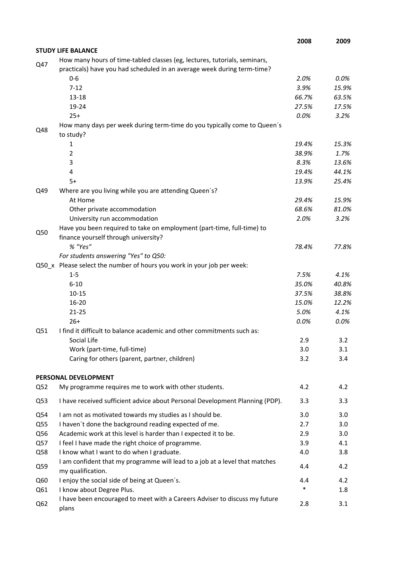|                 |                                                                                                                                                      | 2008   | 2009    |
|-----------------|------------------------------------------------------------------------------------------------------------------------------------------------------|--------|---------|
|                 | <b>STUDY LIFE BALANCE</b>                                                                                                                            |        |         |
| Q47             | How many hours of time-tabled classes (eg, lectures, tutorials, seminars,<br>practicals) have you had scheduled in an average week during term-time? |        |         |
|                 | $0 - 6$                                                                                                                                              | 2.0%   | $0.0\%$ |
|                 | $7 - 12$                                                                                                                                             | 3.9%   | 15.9%   |
|                 | $13 - 18$                                                                                                                                            | 66.7%  | 63.5%   |
|                 | 19-24                                                                                                                                                | 27.5%  | 17.5%   |
|                 | $25+$                                                                                                                                                | 0.0%   | 3.2%    |
| Q48             | How many days per week during term-time do you typically come to Queen's<br>to study?                                                                |        |         |
|                 | 1                                                                                                                                                    | 19.4%  | 15.3%   |
|                 | $\overline{2}$                                                                                                                                       | 38.9%  | 1.7%    |
|                 | 3                                                                                                                                                    | 8.3%   | 13.6%   |
|                 | 4                                                                                                                                                    | 19.4%  | 44.1%   |
|                 | $5+$                                                                                                                                                 | 13.9%  | 25.4%   |
| Q49             | Where are you living while you are attending Queen's?                                                                                                |        |         |
|                 | At Home                                                                                                                                              | 29.4%  | 15.9%   |
|                 | Other private accommodation                                                                                                                          | 68.6%  | 81.0%   |
|                 | University run accommodation                                                                                                                         | 2.0%   | 3.2%    |
| Q50             | Have you been required to take on employment (part-time, full-time) to                                                                               |        |         |
|                 | finance yourself through university?                                                                                                                 |        |         |
|                 | % "Yes"                                                                                                                                              | 78.4%  | 77.8%   |
|                 | For students answering "Yes" to Q50:                                                                                                                 |        |         |
|                 | Q50_x Please select the number of hours you work in your job per week:                                                                               |        |         |
|                 | $1 - 5$                                                                                                                                              | 7.5%   | 4.1%    |
|                 | $6 - 10$                                                                                                                                             | 35.0%  | 40.8%   |
|                 | $10 - 15$                                                                                                                                            | 37.5%  | 38.8%   |
|                 | 16-20                                                                                                                                                | 15.0%  | 12.2%   |
|                 | $21 - 25$                                                                                                                                            | 5.0%   | 4.1%    |
|                 | $26+$                                                                                                                                                | 0.0%   | 0.0%    |
| Q51             | I find it difficult to balance academic and other commitments such as:                                                                               |        |         |
|                 | Social Life                                                                                                                                          | 2.9    | 3.2     |
|                 | Work (part-time, full-time)                                                                                                                          | 3.0    | 3.1     |
|                 | Caring for others (parent, partner, children)                                                                                                        | 3.2    | 3.4     |
|                 | PERSONAL DEVELOPMENT                                                                                                                                 |        |         |
| Q52             | My programme requires me to work with other students.                                                                                                | 4.2    | 4.2     |
| Q53             | I have received sufficient advice about Personal Development Planning (PDP).                                                                         | 3.3    | 3.3     |
| Q54             | I am not as motivated towards my studies as I should be.                                                                                             | 3.0    | 3.0     |
| Q55             | I haven't done the background reading expected of me.                                                                                                | 2.7    | 3.0     |
| Q56             | Academic work at this level is harder than I expected it to be.                                                                                      | 2.9    | 3.0     |
| Q57             | I feel I have made the right choice of programme.                                                                                                    | 3.9    | 4.1     |
| Q58             | I know what I want to do when I graduate.                                                                                                            | 4.0    | 3.8     |
| Q59             | I am confident that my programme will lead to a job at a level that matches<br>my qualification.                                                     | 4.4    | 4.2     |
| Q60             | I enjoy the social side of being at Queen's.                                                                                                         | 4.4    | 4.2     |
| Q61             | I know about Degree Plus.                                                                                                                            | $\ast$ | 1.8     |
| Q <sub>62</sub> | I have been encouraged to meet with a Careers Adviser to discuss my future<br>plans                                                                  | 2.8    | 3.1     |